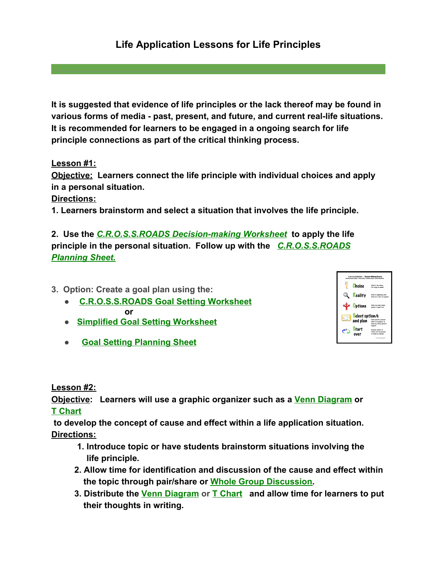## **Life Application Lessons for Life Principles**

**It is suggested that evidence of life principles or the lack thereof may be found in various forms of media - past, present, and future, and current real-life situations. It is recommended for learners to be engaged in a ongoing search for life principle connections as part of the critical thinking process.**

**Lesson #1:**

**Objective: Learners connect the life principle with individual choices and apply in a personal situation.**

**Directions:**

**1. Learners brainstorm and select a situation that involves the life principle.**

**2. Use the** *[C.R.O.S.S.ROADS Decision-making Worksheet](http://www.greatexpectations.org/Websites/greatexpectations/images/pdf/practice6/1%20Final%20CROSSROADS%20worksheet.pdf)* **to apply the life principle in the personal situation. Follow up with the** *[C.R.O.S.S.ROADS](http://www.greatexpectations.org/Websites/greatexpectations/images/pdf/practice6/CROSSROADS%20Planning%20Sheet%20.pdf) [Planning Sheet.](http://www.greatexpectations.org/Websites/greatexpectations/images/pdf/practice6/CROSSROADS%20Planning%20Sheet%20.pdf)*

**3. Option: Create a goal plan using the:**

- **● [C.R.O.S.S.ROADS Goal Setting Worksheet](http://www.greatexpectations.org/Websites/greatexpectations/images/pdf/practice5/Goal%20setting%20EX%20Master%20w%20Crossroads%20emoji.pdf) or**
- **● [Simplified Goal Setting Worksheet](http://www.greatexpectations.org/Websites/greatexpectations/images/pdf/practice5/111%20GS%20simpl%20wksht%20with%20emoji.pdf)**
- **[Goal Setting Planning Sheet](http://www.greatexpectations.org/Websites/greatexpectations/images/pdf/practice5/Goal%20Setting%20Planning%20Sheet%20w%20emoji.pdf)**

C.R.O.S.S.ROADS - Pethian-Making Process Choice **Q** Reality maintenance Options members Select option/s and plan effort is necessary to<br>make my choice option.<br>heasent  $\sum_{\text{over}}$ over

**Lesson #2:**

**Objective: Learners will use a graphic organizer such as a [Venn Diagram](http://www.greatexpectations.org/Websites/greatexpectations/images/pdf/lp/responsibility/Venn%20Diagram%20Master.pdf) o[r](http://www.greatexpectations.org/Websites/greatexpectations/images/pdf/lp/responsibility/T%20chart%20Master.pdf) [T Chart](http://www.greatexpectations.org/Websites/greatexpectations/images/pdf/lp/responsibility/T%20chart%20Master.pdf)**

 **to develop the concept of cause and effect within a life application situation. Directions:**

- **1. Introduce topic or have students brainstorm situations involving the life principle***.*
- **2. Allow time for identification and discussion of the cause and effect within the topic through pair/share or [Whole Group Discussion.](http://www.greatexpectations.org/leading-a-discussion)**
- **3. Distribute the [Venn Diagram](http://www.greatexpectations.org/Websites/greatexpectations/images/pdf/lp/responsibility/Venn%20Diagram%20Master.pdf) or [T Chart](http://www.greatexpectations.org/Websites/greatexpectations/images/pdf/lp/responsibility/T%20chart%20Master.pdf) and allow time for learners to put their thoughts in writing.**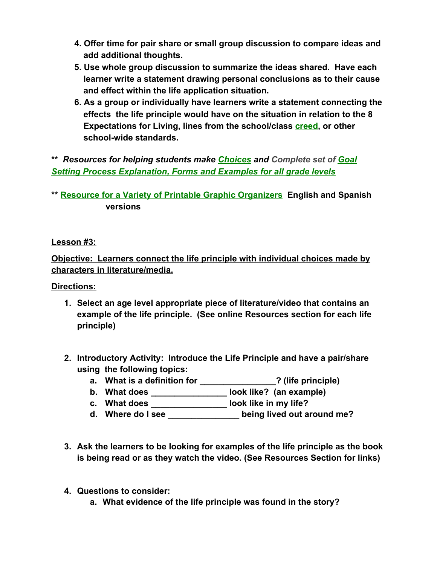- **4. Offer time for pair share or small group discussion to compare ideas and add additional thoughts.**
- **5. Use whole group discussion to summarize the ideas shared. Have each learner write a statement drawing personal conclusions as to their cause and effect within the life application situation.**
- **6. As a group or individually have learners write a statement connecting the effects the life principle would have on the situation in relation to the 8 Expectations for Living, lines from the school/class [creed,](http://www.greatexpectations.org/creeds1) or other school-wide standards.**

**\*\*** *Resources for helping students make [Choices](http://www.greatexpectations.org/choice) and Complete set of [Goal](http://www.greatexpectations.org/goal-setting-forms-practice-five) [Setting Process Explanation, Forms and Examples for all grade levels](http://www.greatexpectations.org/goal-setting-forms-practice-five)*

## **\*[\\*](https://www.eduplace.com/graphicorganizer/) [Resource for a Variety of Printable Graphic Organizers](https://www.eduplace.com/graphicorganizer/) English and Spanish versions**

**Lesson #3:**

**Objective: Learners connect the life principle with individual choices made by characters in literature/media.**

**Directions:**

- **1. Select an age level appropriate piece of literature/video that contains an example of the life principle. (See online Resources section for each life principle)**
- **2. Introductory Activity: Introduce the Life Principle and have a pair/share using the following topics:**
	- **a. What is a definition for \_\_\_\_\_\_\_\_\_\_\_\_\_\_\_\_? (life principle)**
	- **b. What does \_\_\_\_\_\_\_\_\_\_\_\_\_\_\_\_ look like? (an example)**
	- **c. What does \_\_\_\_\_\_\_\_\_\_\_\_\_\_\_\_ look like in my life?**
	- **d. Where do I see \_\_\_\_\_\_\_\_\_\_\_\_\_\_\_ being lived out around me?**
- **3. Ask the learners to be looking for examples of the life principle as the book is being read or as they watch the video. (See Resources Section for links)**
- **4. Questions to consider:**
	- **a. What evidence of the life principle was found in the story?**